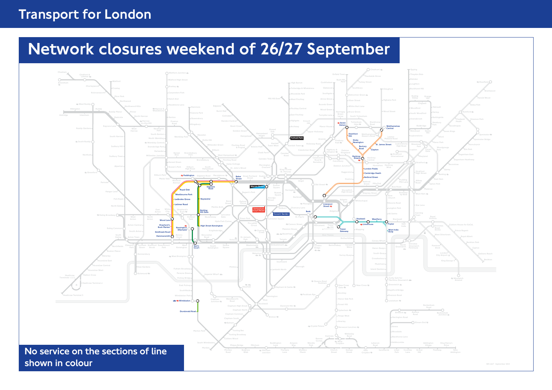## Transport for London

# Network closures weekend of 26/27 September

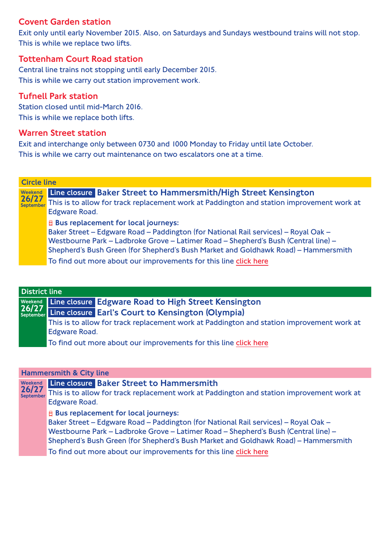## Covent Garden station

Exit only until early November 2015. Also, on Saturdays and Sundays westbound trains will not stop. This is while we replace two lifts.

### Tottenham Court Road station

Central line trains not stopping until early December 2015. This is while we carry out station improvement work.

## Tufnell Park station

Station closed until mid-March 2016. This is while we replace both lifts.

## Warren Street station

Exit and interchange only between 0730 and 1000 Monday to Friday until late October. This is while we carry out maintenance on two escalators one at a time.

| <b>Circle line</b> |                                                                                                                                                                                                                                                                                                                                                                                     |  |
|--------------------|-------------------------------------------------------------------------------------------------------------------------------------------------------------------------------------------------------------------------------------------------------------------------------------------------------------------------------------------------------------------------------------|--|
| Weekend<br>26/27   | Line closure Baker Street to Hammersmith/High Street Kensington<br>september This is to allow for track replacement work at Paddington and station improvement work at<br>Edgware Road.                                                                                                                                                                                             |  |
|                    | <b>B</b> Bus replacement for local journeys:<br>Baker Street - Edgware Road - Paddington (for National Rail services) - Royal Oak -<br>Westbourne Park - Ladbroke Grove - Latimer Road - Shepherd's Bush (Central line) -<br>Shepherd's Bush Green (for Shepherd's Bush Market and Goldhawk Road) - Hammersmith<br>To find out more about our improvements for this line click here |  |

| <b>District line</b> |                                                                                                                        |  |
|----------------------|------------------------------------------------------------------------------------------------------------------------|--|
|                      |                                                                                                                        |  |
|                      | Weekend Line closure Edgware Road to High Street Kensington<br>26/27 Line closure Earl's Court to Kensington (Olympia) |  |
|                      | This is to allow for track replacement work at Paddington and station improvement work at                              |  |
|                      | <b>Edgware Road.</b>                                                                                                   |  |
|                      | To find out more about our improvements for this line click here                                                       |  |

#### Hammersmith & City line

| Weekend<br>26/27<br>September | Line closure Baker Street to Hammersmith<br>This is to allow for track replacement work at Paddington and station improvement work at<br>Edgware Road.                                                                                                                                                                                                                                       |
|-------------------------------|----------------------------------------------------------------------------------------------------------------------------------------------------------------------------------------------------------------------------------------------------------------------------------------------------------------------------------------------------------------------------------------------|
|                               | $\mathbf{\Theta}$ Bus replacement for local journeys:<br>Baker Street - Edgware Road - Paddington (for National Rail services) - Royal Oak -<br>Westbourne Park - Ladbroke Grove - Latimer Road - Shepherd's Bush (Central line) -<br>Shepherd's Bush Green (for Shepherd's Bush Market and Goldhawk Road) - Hammersmith<br>To find out more about our improvements for this line click here |
|                               |                                                                                                                                                                                                                                                                                                                                                                                              |